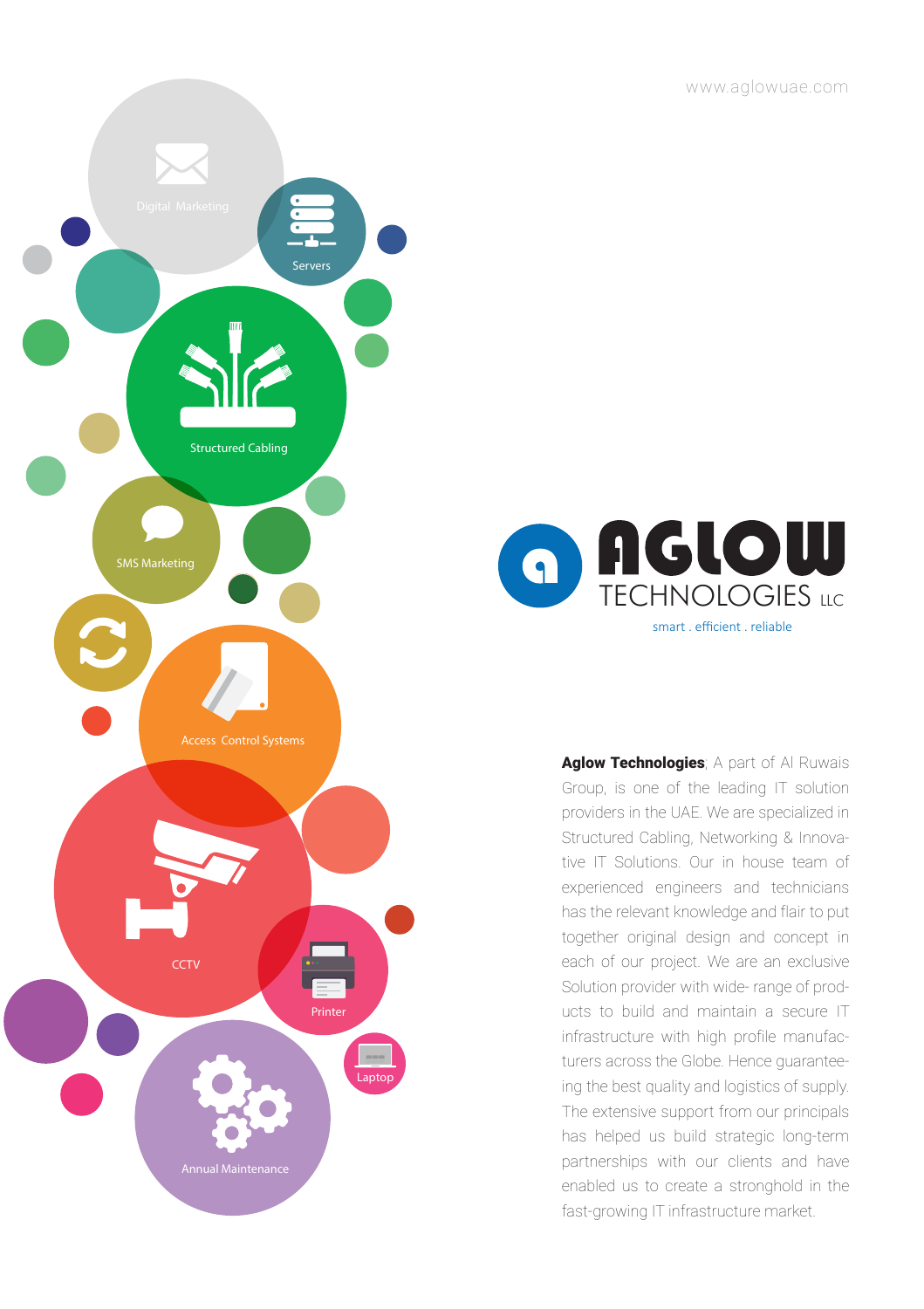www.aglowuae.com





Aglow Technologies; A part of Al Ruwais Group, is one of the leading IT solution providers in the UAE. We are specialized in Structured Cabling, Networking & Innovative IT Solutions. Our in house team of experienced engineers and technicians has the relevant knowledge and flair to put together original design and concept in each of our project. We are an exclusive Solution provider with wide- range of products to build and maintain a secure IT infrastructure with high profile manufacturers across the Globe. Hence guaranteeing the best quality and logistics of supply. The extensive support from our principals has helped us build strategic long-term partnerships with our clients and have enabled us to create a stronghold in the fast-growing IT infrastructure market.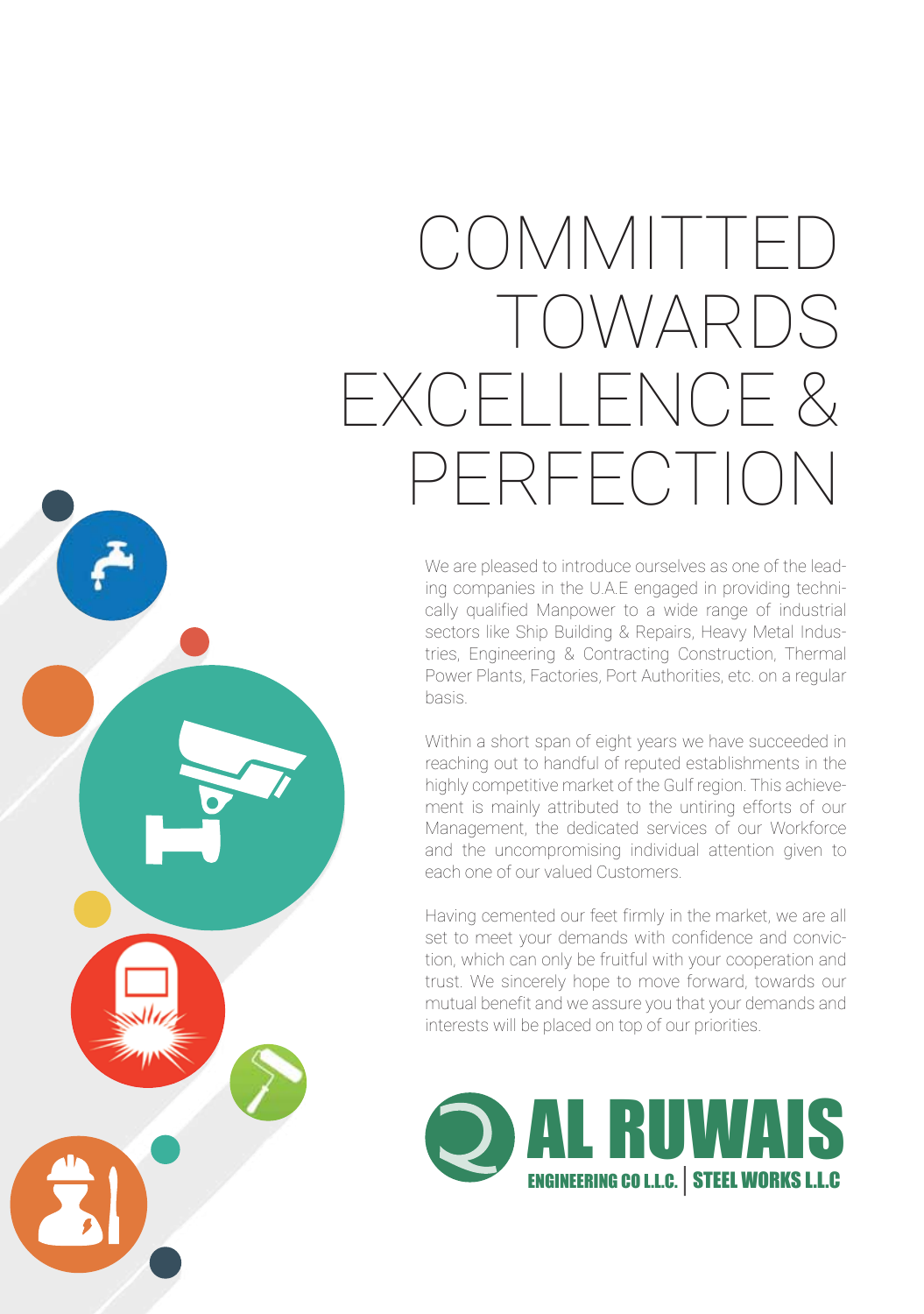# COMMITTED TOWARDS EXCELLENCE & PERFECTION

We are pleased to introduce ourselves as one of the leading companies in the U.A.E engaged in providing technically qualified Manpower to a wide range of industrial sectors like Ship Building & Repairs, Heavy Metal Industries, Engineering & Contracting Construction, Thermal Power Plants, Factories, Port Authorities, etc. on a regular basis.

Within a short span of eight years we have succeeded in reaching out to handful of reputed establishments in the highly competitive market of the Gulf region. This achievement is mainly attributed to the untiring efforts of our Management, the dedicated services of our Workforce and the uncompromising individual attention given to each one of our valued Customers.

Having cemented our feet firmly in the market, we are all set to meet your demands with confidence and conviction, which can only be fruitful with your cooperation and trust. We sincerely hope to move forward, towards our mutual benefit and we assure you that your demands and interests will be placed on top of our priorities.

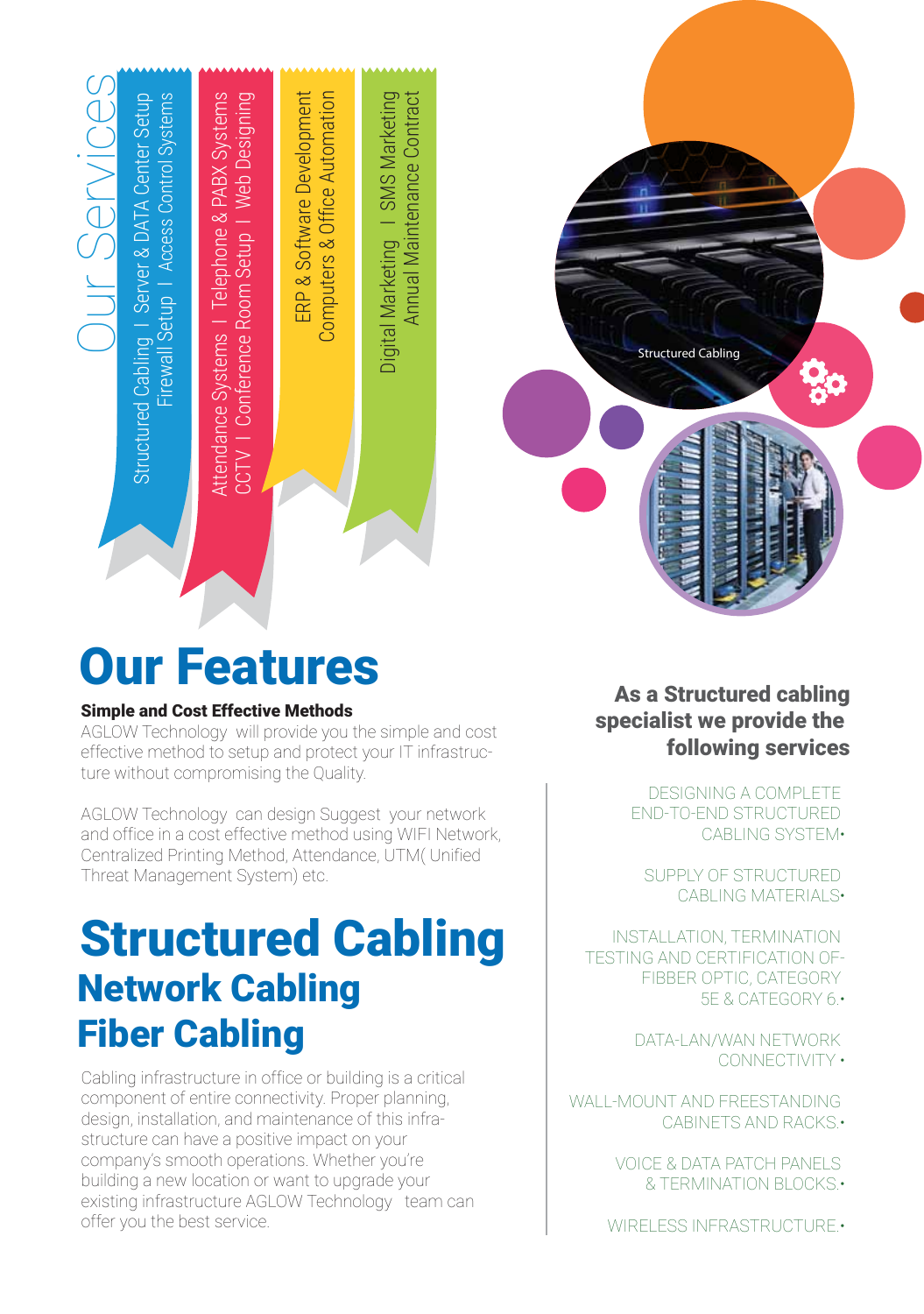

## Our Features

### Simple and Cost Effective Methods

AGLOW Technology will provide you the simple and cost effective method to setup and protect your IT infrastructure without compromising the Quality.

AGLOW Technology can design Suggest your network and office in a cost effective method using WIFI Network, Centralized Printing Method, Attendance, UTM( Unified Threat Management System) etc.

## Structured Cabling Network Cabling Fiber Cabling

Cabling infrastructure in office or building is a critical component of entire connectivity. Proper planning, design, installation, and maintenance of this infrastructure can have a positive impact on your company's smooth operations. Whether you're building a new location or want to upgrade your existing infrastructure AGLOW Technology team can offer you the best service.

### As a Structured cabling specialist we provide the following services

Structured Cabling

 DESIGNING A COMPLETE END-TO-END STRUCTURED CABLING SYSTEM•

 SUPPLY OF STRUCTURED CABLING MATERIALS•

INSTALLATION, TERMINATION TESTING AND CERTIFICATION OF- FIBBER OPTIC, CATEGORY 5E & CATEGORY 6.•

> DATA-LAN/WAN NETWORK CONNECTIVITY •

WALL-MOUNT AND FREESTANDING CABINETS AND RACKS.•

> VOICE & DATA PATCH PANELS & TERMINATION BLOCKS.•

WIRELESS INFRASTRUCTURE.•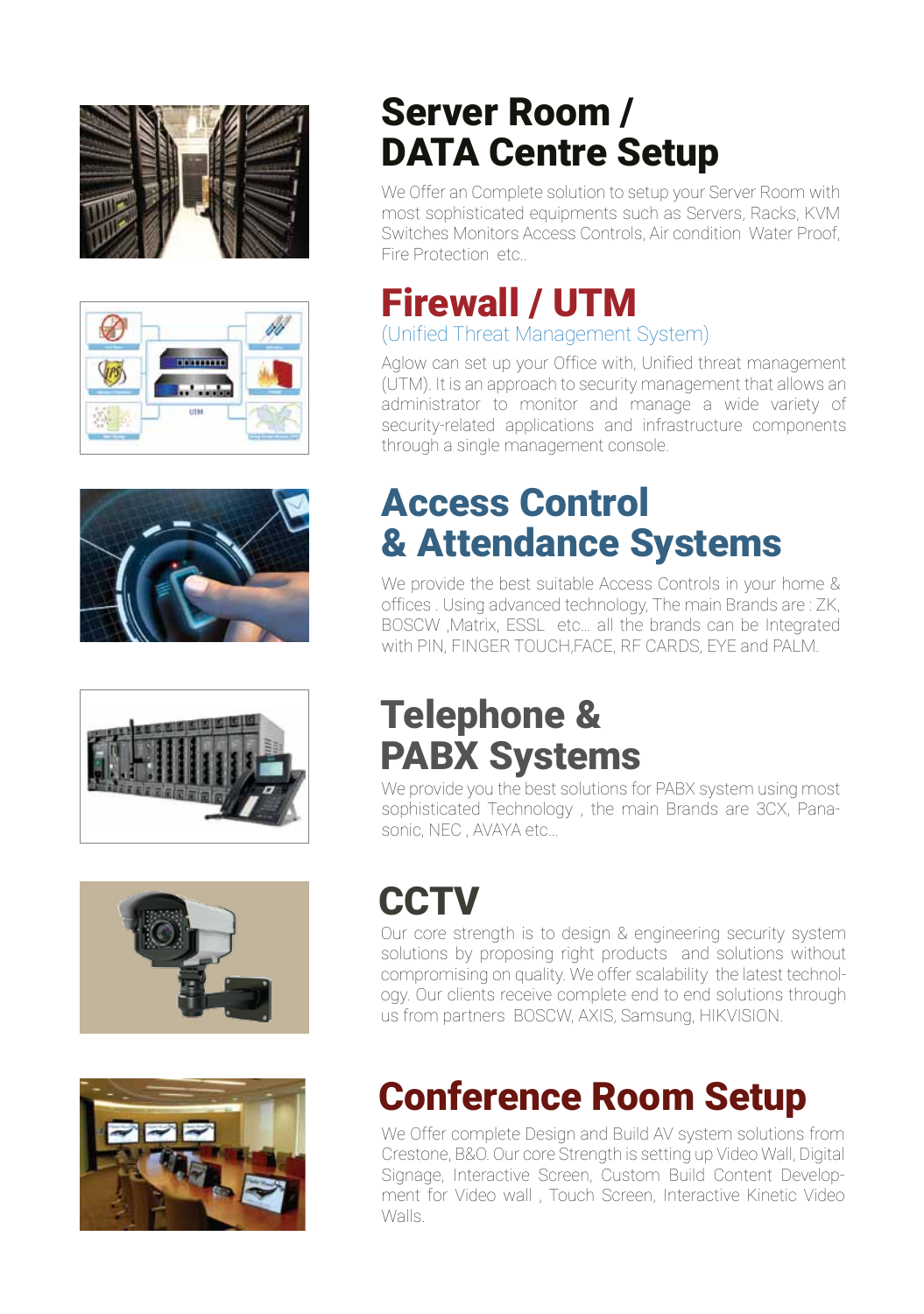











## Server Room / DATA Centre Setup

We Offer an Complete solution to setup your Server Room with most sophisticated equipments such as Servers, Racks, KVM Switches Monitors Access Controls, Air condition Water Proof, Fire Protection etc..

### Firewall / UTM (Unified Threat Management System)

Aglow can set up your Office with, Unified threat management (UTM). It is an approach to security management that allows an administrator to monitor and manage a wide variety of security-related applications and infrastructure components through a single management console.

### Access Control & Attendance Systems

We provide the best suitable Access Controls in your home & offices . Using advanced technology, The main Brands are : ZK, BOSCW ,Matrix, ESSL etc… all the brands can be Integrated with PIN, FINGER TOUCH,FACE, RF CARDS, EYE and PALM.

### Telephone & PABX Systems

We provide you the best solutions for PABX system using most sophisticated Technology , the main Brands are 3CX, Panasonic, NEC , AVAYA etc…

## **CCTV**

Our core strength is to design & engineering security system solutions by proposing right products and solutions without compromising on quality. We offer scalability the latest technology. Our clients receive complete end to end solutions through us from partners BOSCW, AXIS, Samsung, HIKVISION.

## Conference Room Setup

We Offer complete Design and Build AV system solutions from Crestone, B&O. Our core Strength is setting up Video Wall, Digital Signage, Interactive Screen, Custom Build Content Development for Video wall , Touch Screen, Interactive Kinetic Video Walls.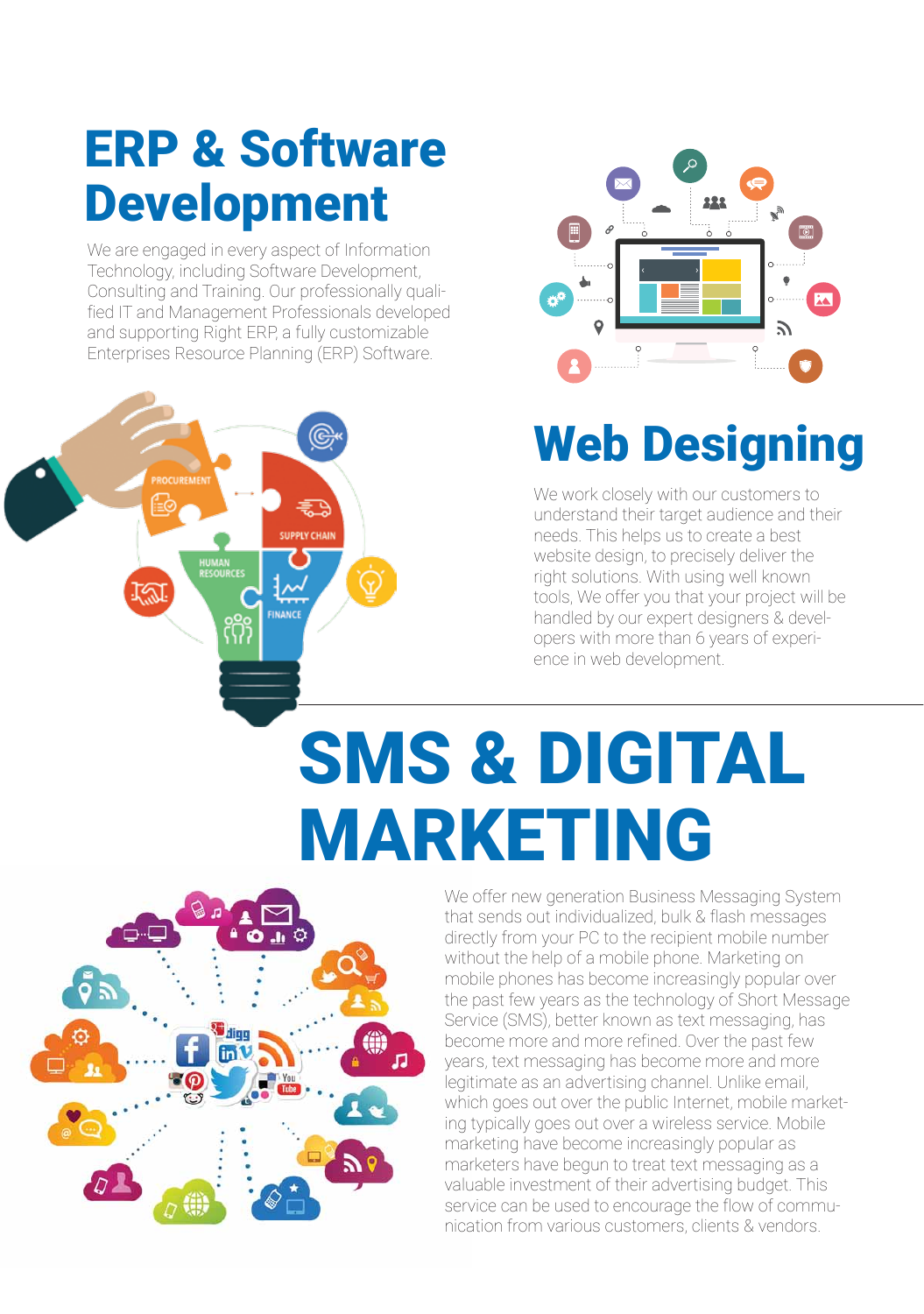## ERP & Software Development

We are engaged in every aspect of Information Technology, including Software Development, Consulting and Training. Our professionally qualified IT and Management Professionals developed and supporting Right ERP, a fully customizable Enterprises Resource Planning (ERP) Software.





## Web Designing

We work closely with our customers to understand their target audience and their needs. This helps us to create a best website design, to precisely deliver the right solutions. With using well known tools, We offer you that your project will be handled by our expert designers & developers with more than 6 years of experience in web development.

# SMS & DIGITAL MARKETING



We offer new generation Business Messaging System that sends out individualized, bulk & flash messages directly from your PC to the recipient mobile number without the help of a mobile phone. Marketing on mobile phones has become increasingly popular over the past few years as the technology of Short Message Service (SMS), better known as text messaging, has become more and more refined. Over the past few years, text messaging has become more and more legitimate as an advertising channel. Unlike email, which goes out over the public Internet, mobile marketing typically goes out over a wireless service. Mobile marketing have become increasingly popular as marketers have begun to treat text messaging as a valuable investment of their advertising budget. This service can be used to encourage the flow of communication from various customers, clients & vendors.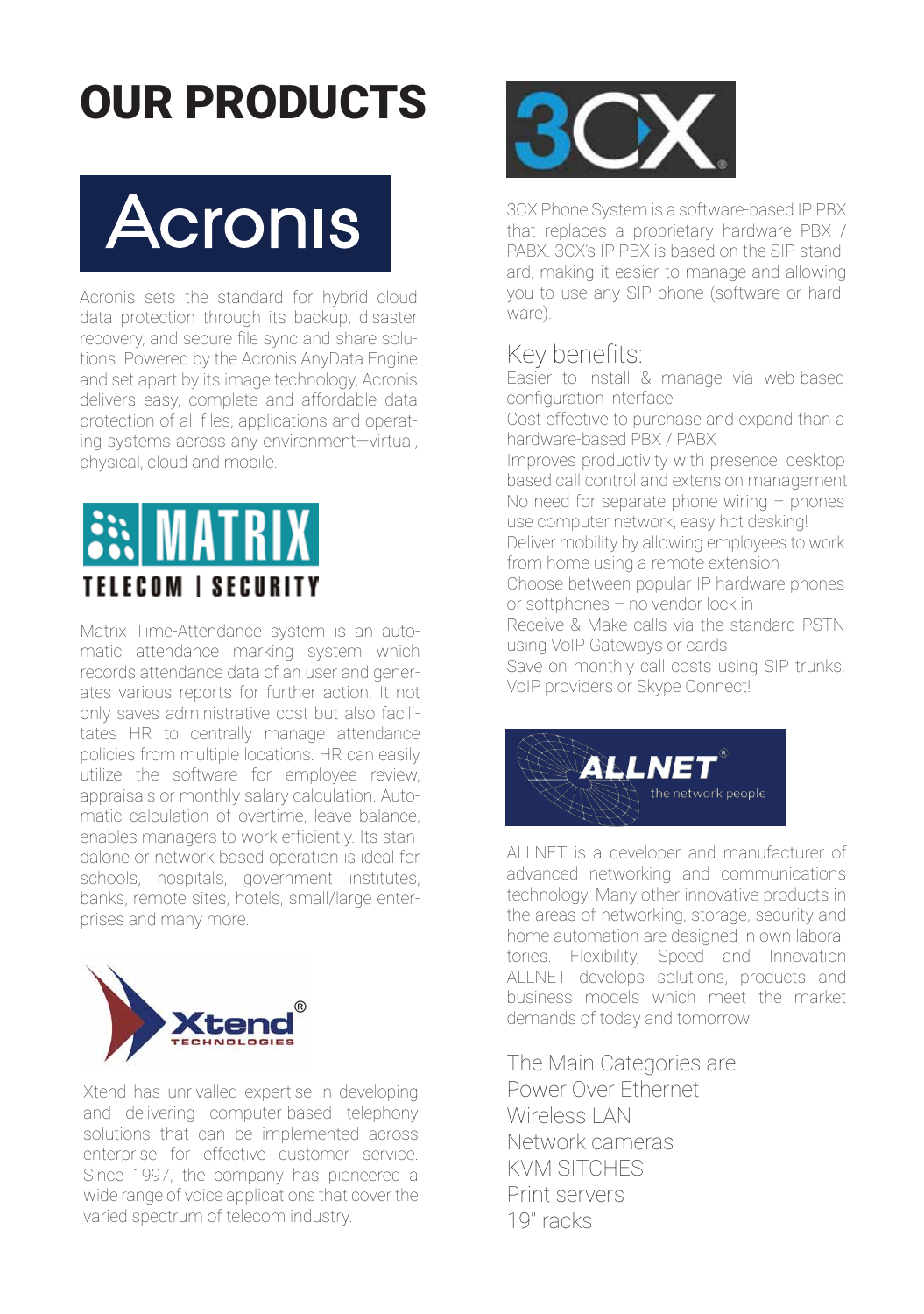## OUR PRODUCTS



Acronis sets the standard for hybrid cloud data protection through its backup, disaster recovery, and secure file sync and share solutions. Powered by the Acronis AnyData Engine and set apart by its image technology, Acronis delivers easy, complete and affordable data protection of all files, applications and operating systems across any environment—virtual, physical, cloud and mobile.



Matrix Time-Attendance system is an automatic attendance marking system which records attendance data of an user and generates various reports for further action. It not only saves administrative cost but also facilitates HR to centrally manage attendance policies from multiple locations. HR can easily utilize the software for employee review, appraisals or monthly salary calculation. Automatic calculation of overtime, leave balance, enables managers to work efficiently. Its standalone or network based operation is ideal for schools, hospitals, government institutes, banks, remote sites, hotels, small/large enterprises and many more.



Xtend has unrivalled expertise in developing and delivering computer-based telephony solutions that can be implemented across enterprise for effective customer service. Since 1997, the company has pioneered a wide range of voice applications that cover the varied spectrum of telecom industry.



3CX Phone System is a software-based IP PBX that replaces a proprietary hardware PBX / PABX. 3CX's IP PBX is based on the SIP standard, making it easier to manage and allowing you to use any SIP phone (software or hardware).

### Key benefits:

Easier to install & manage via web-based configuration interface

Cost effective to purchase and expand than a hardware-based PBX / PABX Improves productivity with presence, desktop based call control and extension management No need for separate phone wiring – phones use computer network, easy hot desking! Deliver mobility by allowing employees to work from home using a remote extension

Choose between popular IP hardware phones or softphones – no vendor lock in

Receive & Make calls via the standard PSTN using VoIP Gateways or cards

Save on monthly call costs using SIP trunks, VoIP providers or Skype Connect!



ALLNET is a developer and manufacturer of advanced networking and communications technology. Many other innovative products in the areas of networking, storage, security and home automation are designed in own laboratories. Flexibility, Speed and Innovation ALLNET develops solutions, products and business models which meet the market demands of today and tomorrow.

The Main Categories are Power Over Ethernet Wireless | AN Network cameras KVM SITCHES Print servers 19'' racks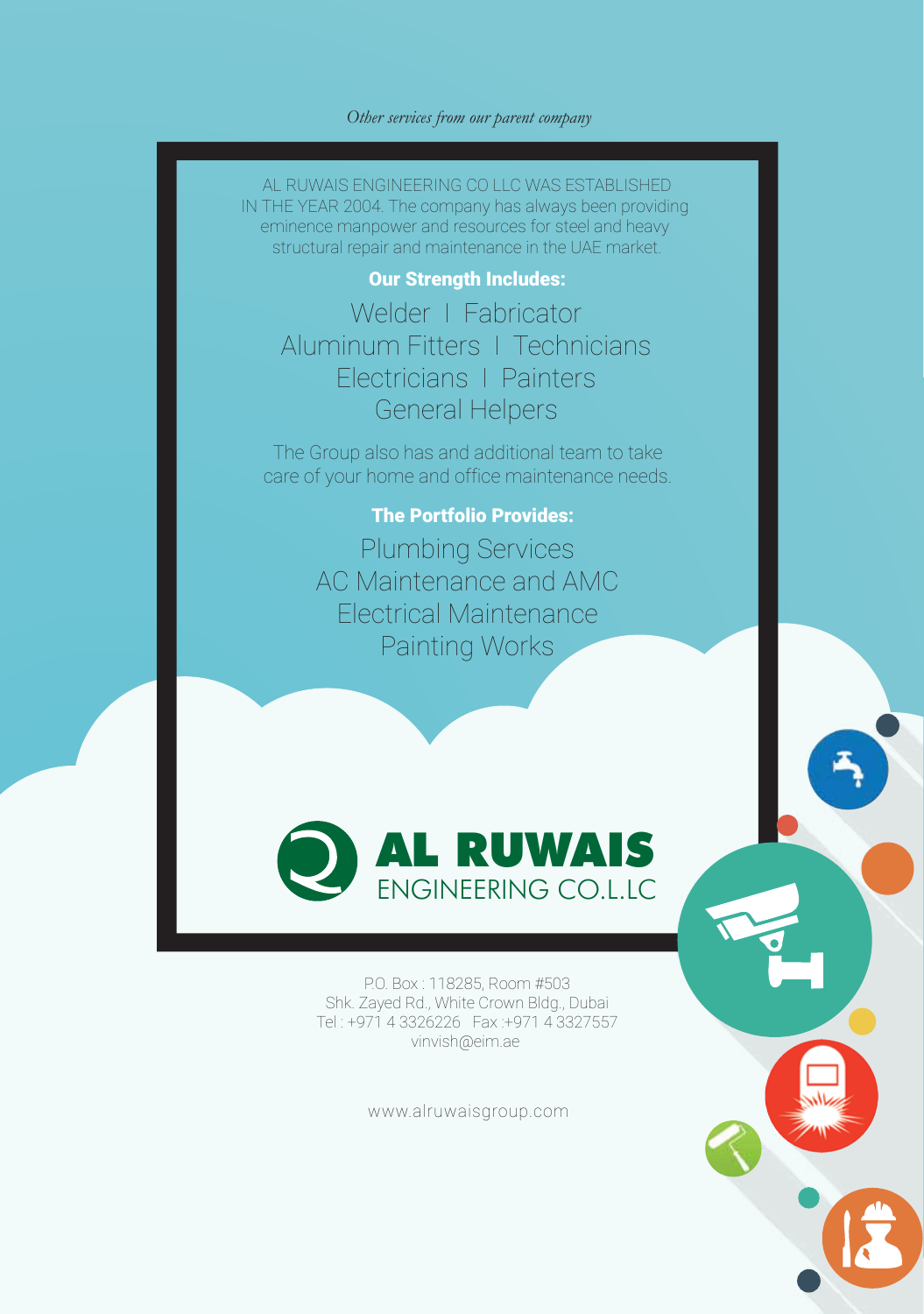#### *Other services from our parent company*

AL RUWAIS ENGINEERING CO LLC WAS ESTABLISHED IN THE YEAR 2004. The company has always been providing eminence manpower and resources for steel and heavy structural repair and maintenance in the UAE market.

#### Our Strength Includes:

Welder | Fabricator Aluminum Fitters I Technicians Electricians I Painters General Helpers

The Group also has and additional team to take care of your home and office maintenance needs.

### The Portfolio Provides:

Plumbing Services AC Maintenance and AMC Electrical Maintenance Painting Works



P.O. Box : 118285, Room #503 Shk. Zayed Rd., White Crown Bldg., Dubai Tel : +971 4 3326226 Fax :+971 4 3327557 vinvish@eim.ae

www.alruwaisgroup.com